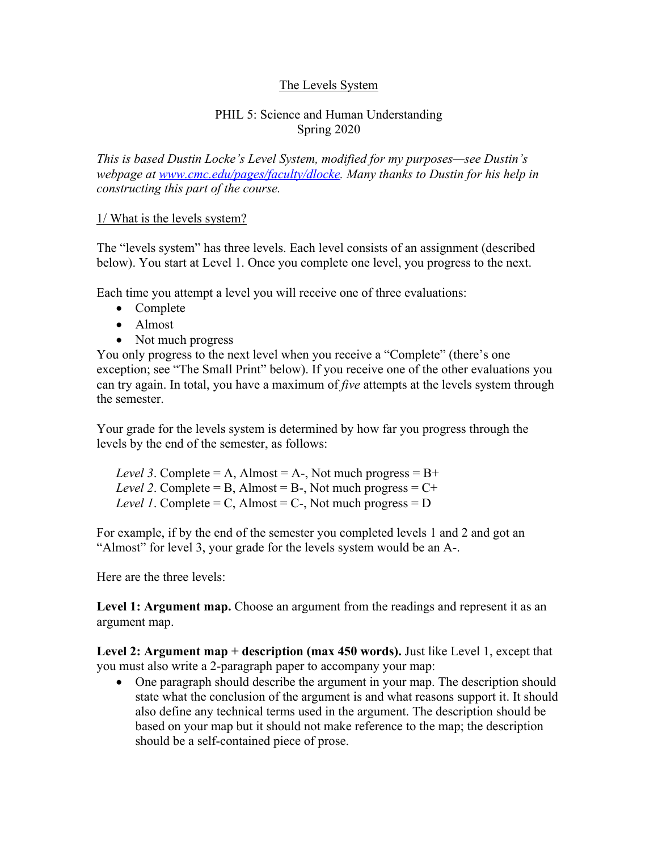# The Levels System

#### PHIL 5: Science and Human Understanding Spring 2020

*This is based Dustin Locke's Level System, modified for my purposes—see Dustin's webpage at www.cmc.edu/pages/faculty/dlocke. Many thanks to Dustin for his help in constructing this part of the course.*

#### 1/ What is the levels system?

The "levels system" has three levels. Each level consists of an assignment (described below). You start at Level 1. Once you complete one level, you progress to the next.

Each time you attempt a level you will receive one of three evaluations:

- Complete
- Almost
- Not much progress

You only progress to the next level when you receive a "Complete" (there's one exception; see "The Small Print" below). If you receive one of the other evaluations you can try again. In total, you have a maximum of *five* attempts at the levels system through the semester.

Your grade for the levels system is determined by how far you progress through the levels by the end of the semester, as follows:

*Level 3.* Complete = A, Almost = A-, Not much progress =  $B+$ *Level 2.* Complete = B, Almost = B-, Not much progress =  $C^+$ *Level 1*. Complete = C, Almost = C-, Not much progress =  $D$ 

For example, if by the end of the semester you completed levels 1 and 2 and got an "Almost" for level 3, your grade for the levels system would be an A-.

Here are the three levels:

**Level 1: Argument map.** Choose an argument from the readings and represent it as an argument map.

**Level 2: Argument map + description (max 450 words).** Just like Level 1, except that you must also write a 2-paragraph paper to accompany your map:

• One paragraph should describe the argument in your map. The description should state what the conclusion of the argument is and what reasons support it. It should also define any technical terms used in the argument. The description should be based on your map but it should not make reference to the map; the description should be a self-contained piece of prose.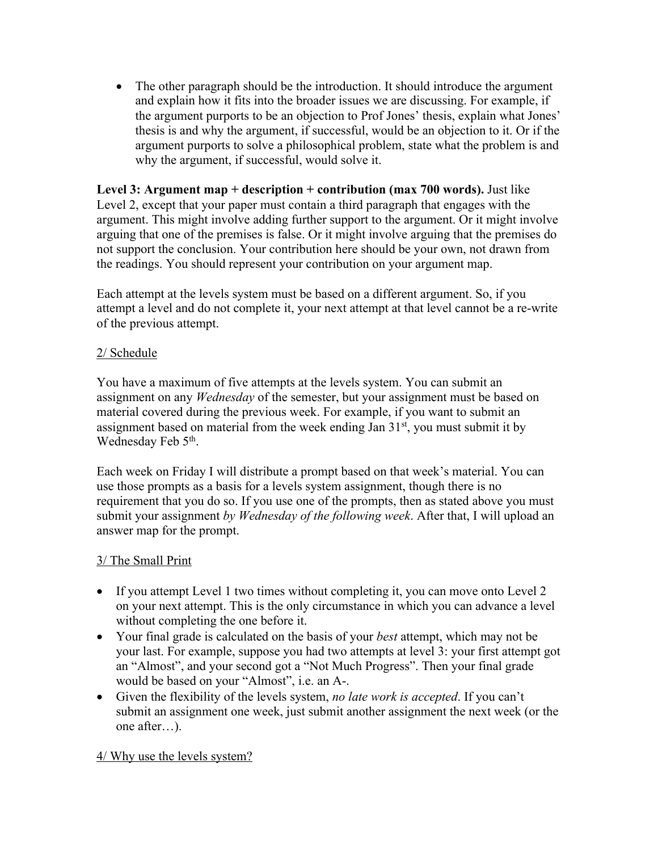• The other paragraph should be the introduction. It should introduce the argument and explain how it fits into the broader issues we are discussing. For example, if the argument purports to be an objection to Prof Jones' thesis, explain what Jones' thesis is and why the argument, if successful, would be an objection to it. Or if the argument purports to solve a philosophical problem, state what the problem is and why the argument, if successful, would solve it.

**Level 3: Argument map + description + contribution (max 700 words).** Just like Level 2, except that your paper must contain a third paragraph that engages with the argument. This might involve adding further support to the argument. Or it might involve arguing that one of the premises is false. Or it might involve arguing that the premises do not support the conclusion. Your contribution here should be your own, not drawn from the readings. You should represent your contribution on your argument map.

Each attempt at the levels system must be based on a different argument. So, if you attempt a level and do not complete it, your next attempt at that level cannot be a re-write of the previous attempt.

# 2/ Schedule

You have a maximum of five attempts at the levels system. You can submit an assignment on any *Wednesday* of the semester, but your assignment must be based on material covered during the previous week. For example, if you want to submit an assignment based on material from the week ending Jan  $31<sup>st</sup>$ , you must submit it by Wednesday Feb 5<sup>th</sup>.

Each week on Friday I will distribute a prompt based on that week's material. You can use those prompts as a basis for a levels system assignment, though there is no requirement that you do so. If you use one of the prompts, then as stated above you must submit your assignment *by Wednesday of the following week*. After that, I will upload an answer map for the prompt.

# 3/ The Small Print

- If you attempt Level 1 two times without completing it, you can move onto Level 2 on your next attempt. This is the only circumstance in which you can advance a level without completing the one before it.
- Your final grade is calculated on the basis of your *best* attempt, which may not be your last. For example, suppose you had two attempts at level 3: your first attempt got an "Almost", and your second got a "Not Much Progress". Then your final grade would be based on your "Almost", i.e. an A-.
- Given the flexibility of the levels system, *no late work is accepted*. If you can't submit an assignment one week, just submit another assignment the next week (or the one after…).

# 4/ Why use the levels system?